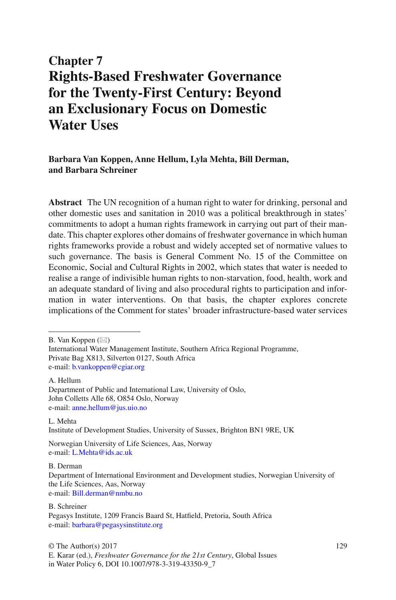# **Chapter 7 Rights-Based Freshwater Governance for the Twenty-First Century: Beyond an Exclusionary Focus on Domestic Water Uses**

### Barbara Van Koppen, Anne Hellum, Lyla Mehta, Bill Derman, **and Barbara Schreiner**

 **Abstract** The UN recognition of a human right to water for drinking, personal and other domestic uses and sanitation in 2010 was a political breakthrough in states' commitments to adopt a human rights framework in carrying out part of their mandate. This chapter explores other domains of freshwater governance in which human rights frameworks provide a robust and widely accepted set of normative values to such governance. The basis is General Comment No. 15 of the Committee on Economic, Social and Cultural Rights in 2002, which states that water is needed to realise a range of indivisible human rights to non-starvation, food, health, work and an adequate standard of living and also procedural rights to participation and information in water interventions. On that basis, the chapter explores concrete implications of the Comment for states' broader infrastructure-based water services

B. Van Koppen  $(\boxtimes)$ 

#### B. Derman

International Water Management Institute, Southern Africa Regional Programme, Private Bag X813 , Silverton 0127 , South Africa e-mail: [b.vankoppen@cgiar.org](mailto:b.vankoppen@cgiar.org)

A. Hellum Department of Public and International Law, University of Oslo, John Colletts Alle 68, O854 Oslo, Norway e-mail: [anne.hellum@jus.uio.no](mailto:anne.hellum@jus.uio.no)

L. Mehta Institute of Development Studies, University of Sussex, Brighton BN1 9RE, UK

Norwegian University of Life Sciences, Aas, Norway e-mail: [L.Mehta@ids.ac.uk](mailto:L.Mehta@ids.ac.uk)

Department of International Environment and Development studies , Norwegian University of the Life Sciences, Aas, Norway e-mail: [Bill.derman@nmbu.no](mailto:Bill.derman@nmbu.no)

B. Schreiner Pegasys Institute, 1209 Francis Baard St, Hatfield, Pretoria, South Africa e-mail: [barbara@pegasysinstitute.org](mailto:barbara@pegasysinstitute.org)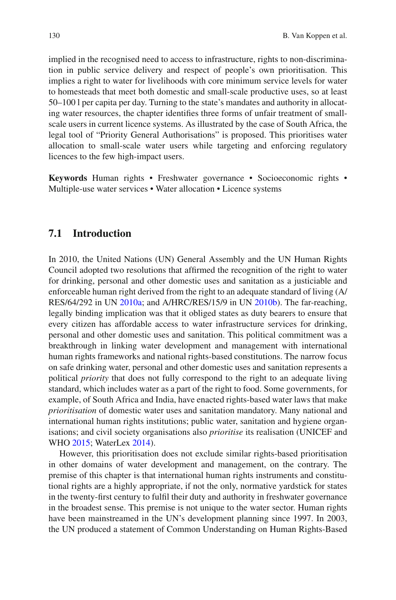implied in the recognised need to access to infrastructure, rights to non-discrimination in public service delivery and respect of people's own prioritisation. This implies a right to water for livelihoods with core minimum service levels for water to homesteads that meet both domestic and small-scale productive uses, so at least 50–100 l per capita per day. Turning to the state's mandates and authority in allocating water resources, the chapter identifies three forms of unfair treatment of smallscale users in current licence systems. As illustrated by the case of South Africa, the legal tool of "Priority General Authorisations" is proposed. This prioritises water allocation to small-scale water users while targeting and enforcing regulatory licences to the few high-impact users.

 **Keywords** Human rights • Freshwater governance • Socioeconomic rights • Multiple-use water services • Water allocation • Licence systems

### **7.1 Introduction**

 In 2010, the United Nations (UN) General Assembly and the UN Human Rights Council adopted two resolutions that affirmed the recognition of the right to water for drinking, personal and other domestic uses and sanitation as a justiciable and enforceable human right derived from the right to an adequate standard of living (A/ RES/64/292 in UN 2010a; and A/HRC/RES/15/9 in UN 2010b). The far-reaching, legally binding implication was that it obliged states as duty bearers to ensure that every citizen has affordable access to water infrastructure services for drinking, personal and other domestic uses and sanitation. This political commitment was a breakthrough in linking water development and management with international human rights frameworks and national rights-based constitutions. The narrow focus on safe drinking water, personal and other domestic uses and sanitation represents a political *priority* that does not fully correspond to the right to an adequate living standard, which includes water as a part of the right to food. Some governments, for example, of South Africa and India, have enacted rights-based water laws that make *prioritisation* of domestic water uses and sanitation mandatory. Many national and international human rights institutions; public water, sanitation and hygiene organisations; and civil society organisations also *prioritise* its realisation (UNICEF and WHO [2015](#page-13-0); WaterLex [2014](#page-14-0)).

 However, this prioritisation does not exclude similar rights-based prioritisation in other domains of water development and management, on the contrary. The premise of this chapter is that international human rights instruments and constitutional rights are a highly appropriate, if not the only, normative yardstick for states in the twenty-first century to fulfil their duty and authority in freshwater governance in the broadest sense. This premise is not unique to the water sector. Human rights have been mainstreamed in the UN's development planning since 1997. In 2003, the UN produced a statement of Common Understanding on Human Rights-Based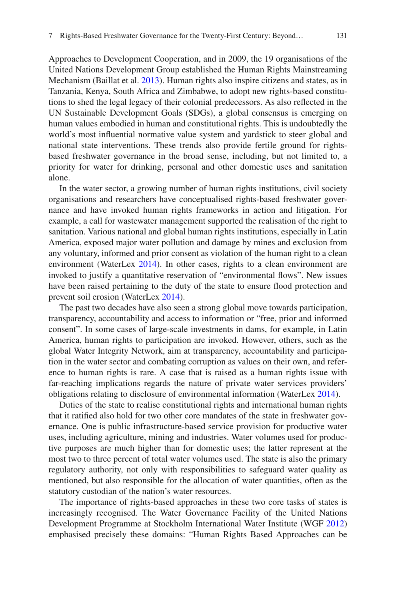Approaches to Development Cooperation, and in 2009, the 19 organisations of the United Nations Development Group established the Human Rights Mainstreaming Mechanism (Baillat et al. [2013 \)](#page-12-0). Human rights also inspire citizens and states, as in Tanzania, Kenya, South Africa and Zimbabwe, to adopt new rights-based constitutions to shed the legal legacy of their colonial predecessors. As also reflected in the UN Sustainable Development Goals (SDGs), a global consensus is emerging on human values embodied in human and constitutional rights. This is undoubtedly the world's most influential normative value system and yardstick to steer global and national state interventions. These trends also provide fertile ground for rightsbased freshwater governance in the broad sense, including, but not limited to, a priority for water for drinking, personal and other domestic uses and sanitation alone.

 In the water sector, a growing number of human rights institutions, civil society organisations and researchers have conceptualised rights-based freshwater governance and have invoked human rights frameworks in action and litigation. For example, a call for wastewater management supported the realisation of the right to sanitation. Various national and global human rights institutions, especially in Latin America, exposed major water pollution and damage by mines and exclusion from any voluntary, informed and prior consent as violation of the human right to a clean environment (WaterLex [2014](#page-14-0)). In other cases, rights to a clean environment are invoked to justify a quantitative reservation of "environmental flows". New issues have been raised pertaining to the duty of the state to ensure flood protection and prevent soil erosion (WaterLex 2014).

 The past two decades have also seen a strong global move towards participation, transparency, accountability and access to information or "free, prior and informed consent". In some cases of large-scale investments in dams, for example, in Latin America, human rights to participation are invoked. However, others, such as the global Water Integrity Network, aim at transparency, accountability and participation in the water sector and combating corruption as values on their own, and reference to human rights is rare. A case that is raised as a human rights issue with far-reaching implications regards the nature of private water services providers' obligations relating to disclosure of environmental information (WaterLex [2014](#page-14-0) ).

 Duties of the state to realise constitutional rights and international human rights that it ratified also hold for two other core mandates of the state in freshwater governance. One is public infrastructure-based service provision for productive water uses, including agriculture, mining and industries. Water volumes used for productive purposes are much higher than for domestic uses; the latter represent at the most two to three percent of total water volumes used. The state is also the primary regulatory authority, not only with responsibilities to safeguard water quality as mentioned, but also responsible for the allocation of water quantities, often as the statutory custodian of the nation's water resources.

 The importance of rights-based approaches in these two core tasks of states is increasingly recognised. The Water Governance Facility of the United Nations Development Programme at Stockholm International Water Institute (WGF [2012](#page-14-0) ) emphasised precisely these domains: "Human Rights Based Approaches can be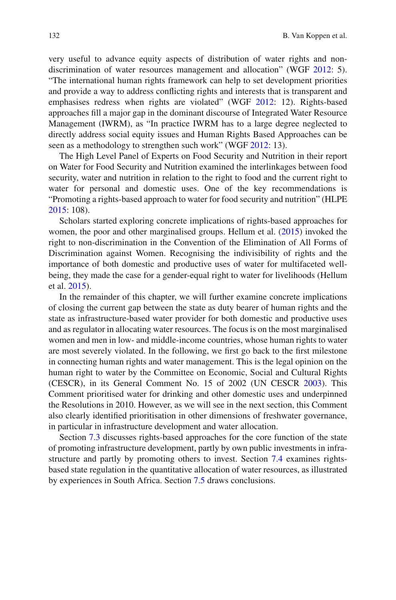very useful to advance equity aspects of distribution of water rights and nondiscrimination of water resources management and allocation" (WGF 2012: 5). "The international human rights framework can help to set development priorities and provide a way to address conflicting rights and interests that is transparent and emphasises redress when rights are violated" (WGF 2012: 12). Rights-based approaches fill a major gap in the dominant discourse of Integrated Water Resource Management (IWRM), as "In practice IWRM has to a large degree neglected to directly address social equity issues and Human Rights Based Approaches can be seen as a methodology to strengthen such work" (WGF 2012: 13).

 The High Level Panel of Experts on Food Security and Nutrition in their report on Water for Food Security and Nutrition examined the interlinkages between food security, water and nutrition in relation to the right to food and the current right to water for personal and domestic uses. One of the key recommendations is "Promoting a rights-based approach to water for food security and nutrition" (HLPE [2015 :](#page-12-0) 108).

 Scholars started exploring concrete implications of rights-based approaches for women, the poor and other marginalised groups. Hellum et al. (2015) invoked the right to non-discrimination in the Convention of the Elimination of All Forms of Discrimination against Women. Recognising the indivisibility of rights and the importance of both domestic and productive uses of water for multifaceted wellbeing, they made the case for a gender-equal right to water for livelihoods (Hellum et al. 2015).

 In the remainder of this chapter, we will further examine concrete implications of closing the current gap between the state as duty bearer of human rights and the state as infrastructure-based water provider for both domestic and productive uses and as regulator in allocating water resources. The focus is on the most marginalised women and men in low- and middle-income countries, whose human rights to water are most severely violated. In the following, we first go back to the first milestone in connecting human rights and water management. This is the legal opinion on the human right to water by the Committee on Economic, Social and Cultural Rights (CESCR), in its General Comment No. 15 of 2002 (UN CESCR [2003](#page-13-0)). This Comment prioritised water for drinking and other domestic uses and underpinned the Resolutions in 2010. However, as we will see in the next section, this Comment also clearly identified prioritisation in other dimensions of freshwater governance, in particular in infrastructure development and water allocation.

 Section [7.3](#page-5-0) discusses rights-based approaches for the core function of the state of promoting infrastructure development, partly by own public investments in infrastructure and partly by promoting others to invest. Section [7.4](#page-8-0) examines rightsbased state regulation in the quantitative allocation of water resources, as illustrated by experiences in South Africa. Section [7.5](#page-11-0) draws conclusions.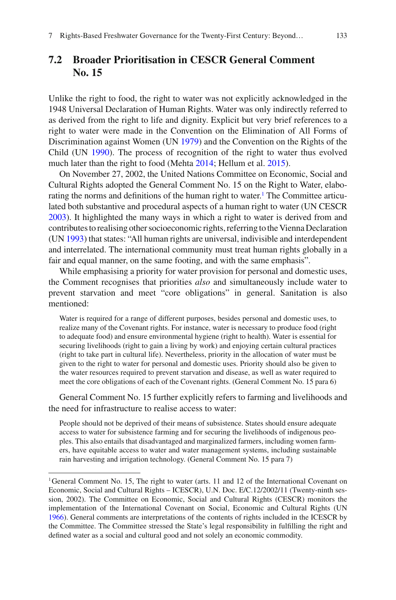## **7.2 Broader Prioritisation in CESCR General Comment No. 15**

 Unlike the right to food, the right to water was not explicitly acknowledged in the 1948 Universal Declaration of Human Rights. Water was only indirectly referred to as derived from the right to life and dignity. Explicit but very brief references to a right to water were made in the Convention on the Elimination of All Forms of Discrimination against Women (UN [1979 \)](#page-13-0) and the Convention on the Rights of the Child (UN [1990](#page-13-0)). The process of recognition of the right to water thus evolved much later than the right to food (Mehta [2014](#page-12-0); Hellum et al. 2015).

 On November 27, 2002, the United Nations Committee on Economic, Social and Cultural Rights adopted the General Comment No. 15 on the Right to Water, elaborating the norms and definitions of the human right to water.<sup>1</sup> The Committee articulated both substantive and procedural aspects of a human right to water (UN CESCR [2003 \)](#page-13-0). It highlighted the many ways in which a right to water is derived from and contributes to realising other socioeconomic rights, referring to the Vienna Declaration (UN [1993](#page-13-0) ) that states: "All human rights are universal, indivisible and interdependent and interrelated. The international community must treat human rights globally in a fair and equal manner, on the same footing, and with the same emphasis".

 While emphasising a priority for water provision for personal and domestic uses, the Comment recognises that priorities *also* and simultaneously include water to prevent starvation and meet "core obligations" in general. Sanitation is also mentioned:

 Water is required for a range of different purposes, besides personal and domestic uses, to realize many of the Covenant rights. For instance, water is necessary to produce food (right to adequate food) and ensure environmental hygiene (right to health). Water is essential for securing livelihoods (right to gain a living by work) and enjoying certain cultural practices (right to take part in cultural life). Nevertheless, priority in the allocation of water must be given to the right to water for personal and domestic uses. Priority should also be given to the water resources required to prevent starvation and disease, as well as water required to meet the core obligations of each of the Covenant rights. (General Comment No. 15 para 6)

 General Comment No. 15 further explicitly refers to farming and livelihoods and the need for infrastructure to realise access to water:

 People should not be deprived of their means of subsistence. States should ensure adequate access to water for subsistence farming and for securing the livelihoods of indigenous peoples. This also entails that disadvantaged and marginalized farmers, including women farmers, have equitable access to water and water management systems, including sustainable rain harvesting and irrigation technology. (General Comment No. 15 para 7)

<sup>&</sup>lt;sup>1</sup>General Comment No. 15, The right to water (arts. 11 and 12 of the International Covenant on Economic, Social and Cultural Rights – ICESCR), U.N. Doc. E/C.12/2002/11 (Twenty-ninth session, 2002). The Committee on Economic, Social and Cultural Rights (CESCR) monitors the implementation of the International Covenant on Social, Economic and Cultural Rights (UN [1966 \)](#page-13-0). General comments are interpretations of the contents of rights included in the ICESCR by the Committee. The Committee stressed the State's legal responsibility in fulfilling the right and defined water as a social and cultural good and not solely an economic commodity.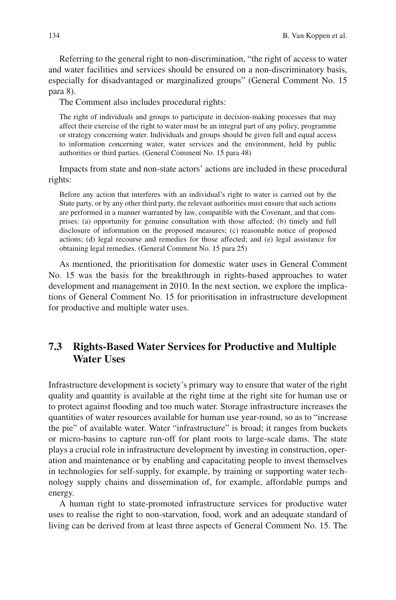<span id="page-5-0"></span> Referring to the general right to non-discrimination, "the right of access to water and water facilities and services should be ensured on a non-discriminatory basis, especially for disadvantaged or marginalized groups" (General Comment No. 15 para 8).

The Comment also includes procedural rights:

 The right of individuals and groups to participate in decision-making processes that may affect their exercise of the right to water must be an integral part of any policy, programme or strategy concerning water. Individuals and groups should be given full and equal access to information concerning water, water services and the environment, held by public authorities or third parties. (General Comment No. 15 para 48)

 Impacts from state and non-state actors' actions are included in these procedural rights:

 Before any action that interferes with an individual's right to water is carried out by the State party, or by any other third party, the relevant authorities must ensure that such actions are performed in a manner warranted by law, compatible with the Covenant, and that comprises: (a) opportunity for genuine consultation with those affected; (b) timely and full disclosure of information on the proposed measures; (c) reasonable notice of proposed actions; (d) legal recourse and remedies for those affected; and (e) legal assistance for obtaining legal remedies. (General Comment No. 15 para 25)

 As mentioned, the prioritisation for domestic water uses in General Comment No. 15 was the basis for the breakthrough in rights-based approaches to water development and management in 2010. In the next section, we explore the implications of General Comment No. 15 for prioritisation in infrastructure development for productive and multiple water uses.

### **7.3 Rights-Based Water Services for Productive and Multiple Water Uses**

 Infrastructure development is society's primary way to ensure that water of the right quality and quantity is available at the right time at the right site for human use or to protect against flooding and too much water. Storage infrastructure increases the quantities of water resources available for human use year-round, so as to "increase the pie" of available water. Water "infrastructure" is broad; it ranges from buckets or micro-basins to capture run-off for plant roots to large-scale dams. The state plays a crucial role in infrastructure development by investing in construction, operation and maintenance or by enabling and capacitating people to invest themselves in technologies for self-supply, for example, by training or supporting water technology supply chains and dissemination of, for example, affordable pumps and energy.

 A human right to state-promoted infrastructure services for productive water uses to realise the right to non-starvation, food, work and an adequate standard of living can be derived from at least three aspects of General Comment No. 15. The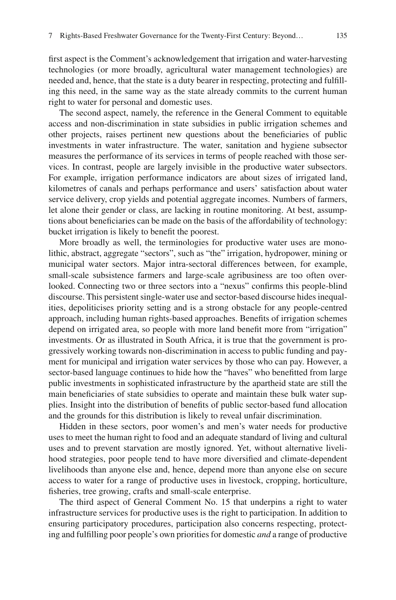first aspect is the Comment's acknowledgement that irrigation and water-harvesting technologies (or more broadly, agricultural water management technologies) are needed and, hence, that the state is a duty bearer in respecting, protecting and fulfilling this need, in the same way as the state already commits to the current human right to water for personal and domestic uses.

 The second aspect, namely, the reference in the General Comment to equitable access and non-discrimination in state subsidies in public irrigation schemes and other projects, raises pertinent new questions about the beneficiaries of public investments in water infrastructure. The water, sanitation and hygiene subsector measures the performance of its services in terms of people reached with those services. In contrast, people are largely invisible in the productive water subsectors. For example, irrigation performance indicators are about sizes of irrigated land, kilometres of canals and perhaps performance and users' satisfaction about water service delivery, crop yields and potential aggregate incomes. Numbers of farmers, let alone their gender or class, are lacking in routine monitoring. At best, assumptions about beneficiaries can be made on the basis of the affordability of technology: bucket irrigation is likely to benefit the poorest.

 More broadly as well, the terminologies for productive water uses are monolithic, abstract, aggregate "sectors", such as "the" irrigation, hydropower, mining or municipal water sectors. Major intra-sectoral differences between, for example, small-scale subsistence farmers and large-scale agribusiness are too often overlooked. Connecting two or three sectors into a "nexus" confirms this people-blind discourse. This persistent single-water use and sector-based discourse hides inequalities, depoliticises priority setting and is a strong obstacle for any people-centred approach, including human rights-based approaches. Benefits of irrigation schemes depend on irrigated area, so people with more land benefit more from "irrigation" investments. Or as illustrated in South Africa, it is true that the government is progressively working towards non-discrimination in access to public funding and payment for municipal and irrigation water services by those who can pay. However, a sector-based language continues to hide how the "haves" who benefitted from large public investments in sophisticated infrastructure by the apartheid state are still the main beneficiaries of state subsidies to operate and maintain these bulk water supplies. Insight into the distribution of benefits of public sector-based fund allocation and the grounds for this distribution is likely to reveal unfair discrimination.

 Hidden in these sectors, poor women's and men's water needs for productive uses to meet the human right to food and an adequate standard of living and cultural uses and to prevent starvation are mostly ignored. Yet, without alternative livelihood strategies, poor people tend to have more diversified and climate-dependent livelihoods than anyone else and, hence, depend more than anyone else on secure access to water for a range of productive uses in livestock, cropping, horticulture, fisheries, tree growing, crafts and small-scale enterprise.

 The third aspect of General Comment No. 15 that underpins a right to water infrastructure services for productive uses is the right to participation. In addition to ensuring participatory procedures, participation also concerns respecting, protecting and fulfilling poor people's own priorities for domestic *and* a range of productive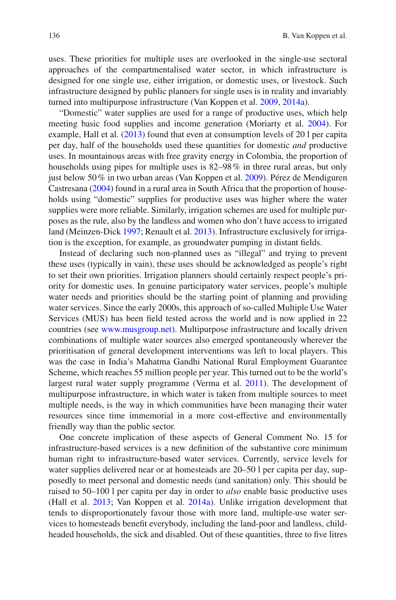uses. These priorities for multiple uses are overlooked in the single-use sectoral approaches of the compartmentalised water sector, in which infrastructure is designed for one single use, either irrigation, or domestic uses, or livestock. Such infrastructure designed by public planners for single uses is in reality and invariably turned into multipurpose infrastructure (Van Koppen et al. 2009, [2014a](#page-13-0)).

 "Domestic" water supplies are used for a range of productive uses, which help meeting basic food supplies and income generation (Moriarty et al. [2004 \)](#page-12-0). For example, Hall et al. (2013) found that even at consumption levels of 20 l per capita per day, half of the households used these quantities for domestic *and* productive uses. In mountainous areas with free gravity energy in Colombia, the proportion of households using pipes for multiple uses is 82–98 % in three rural areas, but only just below 50% in two urban areas (Van Koppen et al. 2009). Pérez de Mendiguren Castresana (2004) found in a rural area in South Africa that the proportion of households using "domestic" supplies for productive uses was higher where the water supplies were more reliable. Similarly, irrigation schemes are used for multiple purposes as the rule, also by the landless and women who don't have access to irrigated land (Meinzen-Dick [1997](#page-12-0); Renault et al. [2013](#page-13-0)). Infrastructure exclusively for irrigation is the exception, for example, as groundwater pumping in distant fields.

 Instead of declaring such non-planned uses as "illegal" and trying to prevent these uses (typically in vain), these uses should be acknowledged as people's right to set their own priorities. Irrigation planners should certainly respect people's priority for domestic uses. In genuine participatory water services, people's multiple water needs and priorities should be the starting point of planning and providing water services. Since the early 2000s, this approach of so-called Multiple Use Water Services (MUS) has been field tested across the world and is now applied in 22 countries (see [www.musgroup.net\)](http://www.musgroup.net/). Multipurpose infrastructure and locally driven combinations of multiple water sources also emerged spontaneously wherever the prioritisation of general development interventions was left to local players. This was the case in India's Mahatma Gandhi National Rural Employment Guarantee Scheme, which reaches 55 million people per year. This turned out to be the world's largest rural water supply programme (Verma et al. 2011). The development of multipurpose infrastructure, in which water is taken from multiple sources to meet multiple needs, is the way in which communities have been managing their water resources since time immemorial in a more cost-effective and environmentally friendly way than the public sector.

 One concrete implication of these aspects of General Comment No. 15 for infrastructure-based services is a new definition of the substantive core minimum human right to infrastructure-based water services. Currently, service levels for water supplies delivered near or at homesteads are 20–50 l per capita per day, supposedly to meet personal and domestic needs (and sanitation) only. This should be raised to 50–100 l per capita per day in order to *also* enable basic productive uses (Hall et al.  $2013$ ; Van Koppen et al.  $2014a$ ). Unlike irrigation development that tends to disproportionately favour those with more land, multiple-use water services to homesteads benefit everybody, including the land-poor and landless, childheaded households, the sick and disabled. Out of these quantities, three to five litres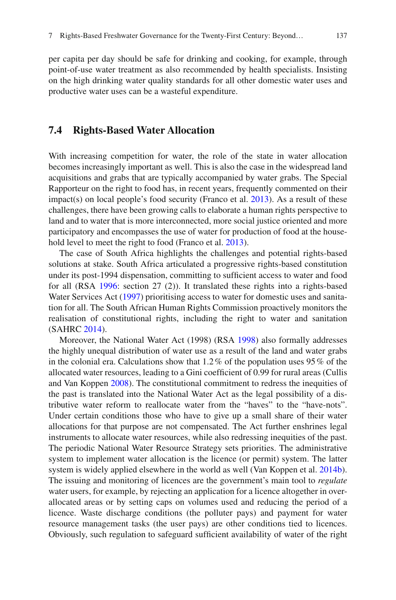<span id="page-8-0"></span>per capita per day should be safe for drinking and cooking, for example, through point-of-use water treatment as also recommended by health specialists. Insisting on the high drinking water quality standards for all other domestic water uses and productive water uses can be a wasteful expenditure.

#### **7.4 Rights-Based Water Allocation**

 With increasing competition for water, the role of the state in water allocation becomes increasingly important as well. This is also the case in the widespread land acquisitions and grabs that are typically accompanied by water grabs. The Special Rapporteur on the right to food has, in recent years, frequently commented on their  $impatch(s)$  on local people's food security (Franco et al. 2013). As a result of these challenges, there have been growing calls to elaborate a human rights perspective to land and to water that is more interconnected, more social justice oriented and more participatory and encompasses the use of water for production of food at the household level to meet the right to food (Franco et al. 2013).

 The case of South Africa highlights the challenges and potential rights-based solutions at stake. South Africa articulated a progressive rights-based constitution under its post-1994 dispensation, committing to sufficient access to water and food for all (RSA  $1996$ : section  $27$  (2)). It translated these rights into a rights-based Water Services Act (1997) prioritising access to water for domestic uses and sanitation for all. The South African Human Rights Commission proactively monitors the realisation of constitutional rights, including the right to water and sanitation (SAHRC [2014](#page-13-0)).

Moreover, the National Water Act (1998) (RSA 1998) also formally addresses the highly unequal distribution of water use as a result of the land and water grabs in the colonial era. Calculations show that  $1.2\%$  of the population uses 95% of the allocated water resources, leading to a Gini coefficient of 0.99 for rural areas (Cullis and Van Koppen 2008). The constitutional commitment to redress the inequities of the past is translated into the National Water Act as the legal possibility of a distributive water reform to reallocate water from the "haves" to the "have-nots". Under certain conditions those who have to give up a small share of their water allocations for that purpose are not compensated. The Act further enshrines legal instruments to allocate water resources, while also redressing inequities of the past. The periodic National Water Resource Strategy sets priorities. The administrative system to implement water allocation is the licence (or permit) system. The latter system is widely applied elsewhere in the world as well (Van Koppen et al. 2014b). The issuing and monitoring of licences are the government's main tool to *regulate* water users, for example, by rejecting an application for a licence altogether in overallocated areas or by setting caps on volumes used and reducing the period of a licence. Waste discharge conditions (the polluter pays) and payment for water resource management tasks (the user pays) are other conditions tied to licences. Obviously, such regulation to safeguard sufficient availability of water of the right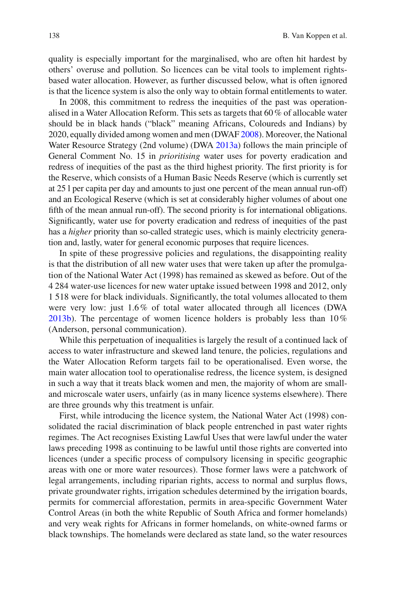quality is especially important for the marginalised, who are often hit hardest by others' overuse and pollution. So licences can be vital tools to implement rightsbased water allocation. However, as further discussed below, what is often ignored is that the licence system is also the only way to obtain formal entitlements to water.

 In 2008, this commitment to redress the inequities of the past was operationalised in a Water Allocation Reform. This sets as targets that 60 % of allocable water should be in black hands ("black" meaning Africans, Coloureds and Indians) by 2020, equally divided among women and men (DWAF [2008](#page-12-0) ). Moreover, the National Water Resource Strategy (2nd volume) (DWA 2013a) follows the main principle of General Comment No. 15 in *prioritising* water uses for poverty eradication and redress of inequities of the past as the third highest priority. The first priority is for the Reserve, which consists of a Human Basic Needs Reserve (which is currently set at 25 l per capita per day and amounts to just one percent of the mean annual run-off) and an Ecological Reserve (which is set at considerably higher volumes of about one fifth of the mean annual run-off). The second priority is for international obligations. Significantly, water use for poverty eradication and redress of inequities of the past has a *higher* priority than so-called strategic uses, which is mainly electricity generation and, lastly, water for general economic purposes that require licences.

 In spite of these progressive policies and regulations, the disappointing reality is that the distribution of all new water uses that were taken up after the promulgation of the National Water Act (1998) has remained as skewed as before. Out of the 4 284 water-use licences for new water uptake issued between 1998 and 2012, only 1 518 were for black individuals. Significantly, the total volumes allocated to them were very low: just 1.6 % of total water allocated through all licences (DWA [2013b](#page-12-0)). The percentage of women licence holders is probably less than  $10\%$ (Anderson, personal communication).

 While this perpetuation of inequalities is largely the result of a continued lack of access to water infrastructure and skewed land tenure, the policies, regulations and the Water Allocation Reform targets fail to be operationalised. Even worse, the main water allocation tool to operationalise redress, the licence system, is designed in such a way that it treats black women and men, the majority of whom are smalland microscale water users, unfairly (as in many licence systems elsewhere). There are three grounds why this treatment is unfair.

 First, while introducing the licence system, the National Water Act (1998) consolidated the racial discrimination of black people entrenched in past water rights regimes. The Act recognises Existing Lawful Uses that were lawful under the water laws preceding 1998 as continuing to be lawful until those rights are converted into licences (under a specific process of compulsory licensing in specific geographic areas with one or more water resources). Those former laws were a patchwork of legal arrangements, including riparian rights, access to normal and surplus flows, private groundwater rights, irrigation schedules determined by the irrigation boards, permits for commercial afforestation, permits in area-specific Government Water Control Areas (in both the white Republic of South Africa and former homelands) and very weak rights for Africans in former homelands, on white-owned farms or black townships. The homelands were declared as state land, so the water resources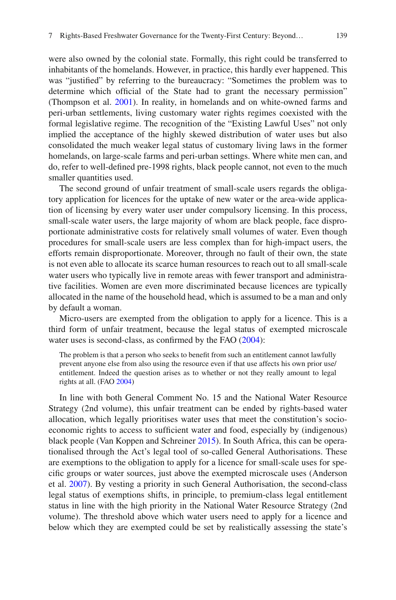were also owned by the colonial state. Formally, this right could be transferred to inhabitants of the homelands. However, in practice, this hardly ever happened. This was "justified" by referring to the bureaucracy: "Sometimes the problem was to determine which official of the State had to grant the necessary permission" (Thompson et al. 2001). In reality, in homelands and on white-owned farms and peri-urban settlements, living customary water rights regimes coexisted with the formal legislative regime. The recognition of the "Existing Lawful Uses" not only implied the acceptance of the highly skewed distribution of water uses but also consolidated the much weaker legal status of customary living laws in the former homelands, on large-scale farms and peri-urban settings. Where white men can, and do, refer to well-defined pre-1998 rights, black people cannot, not even to the much smaller quantities used.

 The second ground of unfair treatment of small-scale users regards the obligatory application for licences for the uptake of new water or the area-wide application of licensing by every water user under compulsory licensing. In this process, small-scale water users, the large majority of whom are black people, face disproportionate administrative costs for relatively small volumes of water. Even though procedures for small-scale users are less complex than for high-impact users, the efforts remain disproportionate. Moreover, through no fault of their own, the state is not even able to allocate its scarce human resources to reach out to all small-scale water users who typically live in remote areas with fewer transport and administrative facilities. Women are even more discriminated because licences are typically allocated in the name of the household head, which is assumed to be a man and only by default a woman.

 Micro-users are exempted from the obligation to apply for a licence. This is a third form of unfair treatment, because the legal status of exempted microscale water uses is second-class, as confirmed by the FAO  $(2004)$ :

The problem is that a person who seeks to benefit from such an entitlement cannot lawfully prevent anyone else from also using the resource even if that use affects his own prior use/ entitlement. Indeed the question arises as to whether or not they really amount to legal rights at all. (FAO [2004](#page-12-0))

 In line with both General Comment No. 15 and the National Water Resource Strategy (2nd volume), this unfair treatment can be ended by rights-based water allocation, which legally prioritises water uses that meet the constitution's socioeconomic rights to access to sufficient water and food, especially by (indigenous) black people (Van Koppen and Schreiner 2015). In South Africa, this can be operationalised through the Act's legal tool of so-called General Authorisations. These are exemptions to the obligation to apply for a licence for small-scale uses for specific groups or water sources, just above the exempted microscale uses (Anderson et al. [2007 \)](#page-12-0). By vesting a priority in such General Authorisation, the second-class legal status of exemptions shifts, in principle, to premium-class legal entitlement status in line with the high priority in the National Water Resource Strategy (2nd volume). The threshold above which water users need to apply for a licence and below which they are exempted could be set by realistically assessing the state's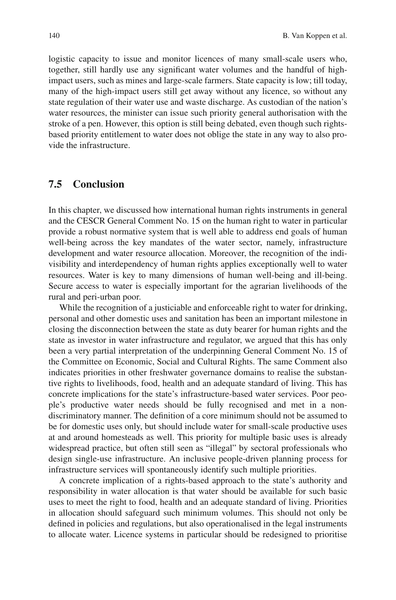<span id="page-11-0"></span>logistic capacity to issue and monitor licences of many small-scale users who, together, still hardly use any significant water volumes and the handful of highimpact users, such as mines and large-scale farmers. State capacity is low; till today, many of the high-impact users still get away without any licence, so without any state regulation of their water use and waste discharge. As custodian of the nation's water resources, the minister can issue such priority general authorisation with the stroke of a pen. However, this option is still being debated, even though such rightsbased priority entitlement to water does not oblige the state in any way to also provide the infrastructure.

### **7.5 Conclusion**

 In this chapter, we discussed how international human rights instruments in general and the CESCR General Comment No. 15 on the human right to water in particular provide a robust normative system that is well able to address end goals of human well-being across the key mandates of the water sector, namely, infrastructure development and water resource allocation. Moreover, the recognition of the indivisibility and interdependency of human rights applies exceptionally well to water resources. Water is key to many dimensions of human well-being and ill-being. Secure access to water is especially important for the agrarian livelihoods of the rural and peri-urban poor.

 While the recognition of a justiciable and enforceable right to water for drinking, personal and other domestic uses and sanitation has been an important milestone in closing the disconnection between the state as duty bearer for human rights and the state as investor in water infrastructure and regulator, we argued that this has only been a very partial interpretation of the underpinning General Comment No. 15 of the Committee on Economic, Social and Cultural Rights. The same Comment also indicates priorities in other freshwater governance domains to realise the substantive rights to livelihoods, food, health and an adequate standard of living. This has concrete implications for the state's infrastructure-based water services. Poor people's productive water needs should be fully recognised and met in a nondiscriminatory manner. The definition of a core minimum should not be assumed to be for domestic uses only, but should include water for small-scale productive uses at and around homesteads as well. This priority for multiple basic uses is already widespread practice, but often still seen as "illegal" by sectoral professionals who design single-use infrastructure. An inclusive people-driven planning process for infrastructure services will spontaneously identify such multiple priorities.

 A concrete implication of a rights-based approach to the state's authority and responsibility in water allocation is that water should be available for such basic uses to meet the right to food, health and an adequate standard of living. Priorities in allocation should safeguard such minimum volumes. This should not only be defined in policies and regulations, but also operationalised in the legal instruments to allocate water. Licence systems in particular should be redesigned to prioritise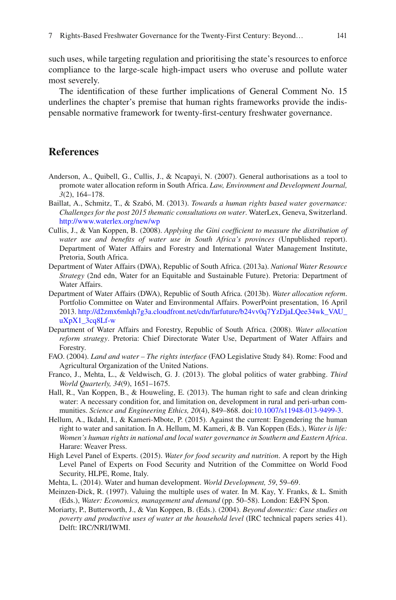<span id="page-12-0"></span>such uses, while targeting regulation and prioritising the state's resources to enforce compliance to the large-scale high-impact users who overuse and pollute water most severely.

The identification of these further implications of General Comment No. 15 underlines the chapter's premise that human rights frameworks provide the indispensable normative framework for twenty-first-century freshwater governance.

### **References**

- Anderson, A., Quibell, G., Cullis, J., & Ncapayi, N. (2007). General authorisations as a tool to promote water allocation reform in South Africa. *Law, Environment and Development Journal, 3* (2), 164–178.
- Baillat, A., Schmitz, T., & Szabó, M. (2013). *Towards a human rights based water governance: Challenges for the post 2015 thematic consultations on water* . WaterLex, Geneva, Switzerland. <http://www.waterlex.org/new/wp>
- Cullis, J., & Van Koppen, B. (2008). *Applying the Gini coefficient to measure the distribution of water use and benefits of water use in South Africa's provinces* (Unpublished report). Department of Water Affairs and Forestry and International Water Management Institute, Pretoria, South Africa.
- Department of Water Affairs (DWA), Republic of South Africa. (2013a). *National Water Resource Strategy* (2nd edn, Water for an Equitable and Sustainable Future). Pretoria: Department of Water Affairs.
- Department of Water Affairs (DWA), Republic of South Africa. (2013b). *Water allocation reform* . Portfolio Committee on Water and Environmental Affairs. PowerPoint presentation, 16 April 2013. [http://d2zmx6mlqh7g3a.cloudfront.net/cdn/farfuture/b24vv0q7YzDjaLQee34wk\\_VAU\\_](http://d2zmx6mlqh7g3a.cloudfront.net/cdn/farfuture/b24vv0q7YzDjaLQee34wk_VAU_uXpX1_3cq8Lf-w) [uXpX1\\_3cq8Lf-w](http://d2zmx6mlqh7g3a.cloudfront.net/cdn/farfuture/b24vv0q7YzDjaLQee34wk_VAU_uXpX1_3cq8Lf-w)
- Department of Water Affairs and Forestry, Republic of South Africa. (2008). *Water allocation reform strategy* . Pretoria: Chief Directorate Water Use, Department of Water Affairs and Forestry.
- FAO. (2004). *Land and water The rights interface* (FAO Legislative Study 84). Rome: Food and Agricultural Organization of the United Nations.
- Franco, J., Mehta, L., & Veldwisch, G. J. (2013). The global politics of water grabbing. *Third World Quarterly, 34(9), 1651-1675.*
- Hall, R., Van Koppen, B., & Houweling, E. (2013). The human right to safe and clean drinking water: A necessary condition for, and limitation on, development in rural and peri-urban communities. *Science and Engineering Ethics, 20* (4), 849–868. doi:[10.1007/s11948-013-9499-3.](http://dx.doi.org/10.1007/s11948-013-9499-3)
- Hellum, A., Ikdahl, I., & Kameri-Mbote, P. (2015). Against the current: Engendering the human right to water and sanitation. In A. Hellum, M. Kameri, & B. Van Koppen (Eds.), *Water is life: Women's human rights in national and local water governance in Southern and Eastern Africa* . Harare: Weaver Press.
- High Level Panel of Experts. (2015). *Water for food security and nutrition* . A report by the High Level Panel of Experts on Food Security and Nutrition of the Committee on World Food Security, HLPE, Rome, Italy.
- Mehta, L. (2014). Water and human development. *World Development, 59* , 59–69.
- Meinzen-Dick, R. (1997). Valuing the multiple uses of water. In M. Kay, Y. Franks, & L. Smith (Eds.), *Water: Economics, management and demand* (pp. 50–58). London: E&FN Spon.
- Moriarty, P., Butterworth, J., & Van Koppen, B. (Eds.). (2004). *Beyond domestic: Case studies on poverty and productive uses of water at the household level* (IRC technical papers series 41). Delft: IRC/NRI/IWMI.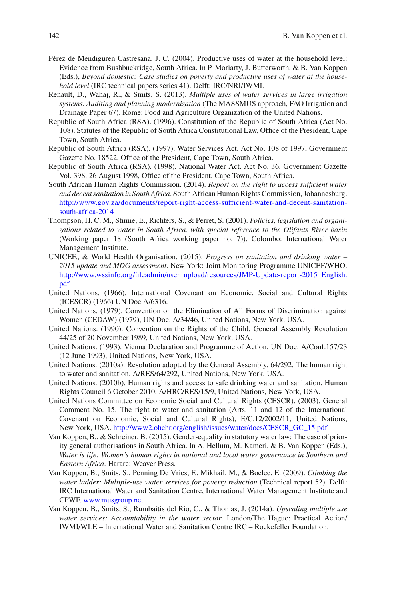- <span id="page-13-0"></span> Pérez de Mendiguren Castresana, J. C. (2004). Productive uses of water at the household level: Evidence from Bushbuckridge, South Africa. In P. Moriarty, J. Butterworth, & B. Van Koppen (Eds.), *Beyond domestic: Case studies on poverty and productive uses of water at the household level* (IRC technical papers series 41). Delft: IRC/NRI/IWMI.
- Renault, D., Wahaj, R., & Smits, S. (2013). *Multiple uses of water services in large irrigation systems. Auditing and planning modernization* (The MASSMUS approach, FAO Irrigation and Drainage Paper 67). Rome: Food and Agriculture Organization of the United Nations.
- Republic of South Africa (RSA). (1996). Constitution of the Republic of South Africa (Act No. 108). Statutes of the Republic of South Africa Constitutional Law, Office of the President, Cape Town, South Africa.
- Republic of South Africa (RSA). (1997). Water Services Act. Act No. 108 of 1997, Government Gazette No. 18522, Office of the President, Cape Town, South Africa.
- Republic of South Africa (RSA). (1998). National Water Act. Act No. 36, Government Gazette Vol. 398, 26 August 1998, Office of the President, Cape Town, South Africa.
- South African Human Rights Commission. (2014). *Report on the right to access sufficient water and decent sanitation in South Africa* . South African Human Rights Commission, Johannesburg.  [http://www.gov.za/documents/report-right-access-sufficient-water-and-decent-sanitation](http://www.gov.za/documents/report-right-access-sufficient-water-and-decent-sanitation-south-africa-2014)[south-africa-2014](http://www.gov.za/documents/report-right-access-sufficient-water-and-decent-sanitation-south-africa-2014)
- Thompson, H. C. M., Stimie, E., Richters, S., & Perret, S. (2001). *Policies, legislation and organizations related to water in South Africa, with special reference to the Olifants River basin* (Working paper 18 (South Africa working paper no. 7)). Colombo: International Water Management Institute.
- UNICEF., & World Health Organisation. (2015). *Progress on sanitation and drinking water 2015 update and MDG assessment* . New York: Joint Monitoring Programme UNICEF/WHO.  [http://www.wssinfo.org/fi leadmin/user\\_upload/resources/JMP-Update-report-2015\\_English.](http://www.wssinfo.org/fileadmin/user_upload/resources/JMP-Update-report-2015_English.pdf) [pdf](http://www.wssinfo.org/fileadmin/user_upload/resources/JMP-Update-report-2015_English.pdf)
- United Nations. (1966). International Covenant on Economic, Social and Cultural Rights (ICESCR) (1966) UN Doc A/6316.
- United Nations. (1979). Convention on the Elimination of All Forms of Discrimination against Women (CEDAW) (1979), UN Doc. A/34/46, United Nations, New York, USA.
- United Nations. (1990). Convention on the Rights of the Child. General Assembly Resolution 44/25 of 20 November 1989, United Nations, New York, USA.
- United Nations. (1993). Vienna Declaration and Programme of Action, UN Doc. A/Conf.157/23 (12 June 1993), United Nations, New York, USA.
- United Nations. (2010a). Resolution adopted by the General Assembly. 64/292. The human right to water and sanitation. A/RES/64/292, United Nations, New York, USA.
- United Nations. (2010b). Human rights and access to safe drinking water and sanitation, Human Rights Council 6 October 2010, A/HRC/RES/15/9, United Nations, New York, USA.
- United Nations Committee on Economic Social and Cultural Rights (CESCR). (2003). General Comment No. 15. The right to water and sanitation (Arts. 11 and 12 of the International Covenant on Economic, Social and Cultural Rights), E/C.12/2002/11, United Nations, New York, USA. [http://www2.ohchr.org/english/issues/water/docs/CESCR\\_GC\\_15.pdf](http://www2.ohchr.org/english/issues/water/docs/CESCR_GC_15.pdf)
- Van Koppen, B., & Schreiner, B. (2015). Gender-equality in statutory water law: The case of priority general authorisations in South Africa. In A. Hellum, M. Kameri, & B. Van Koppen (Eds.), *Water is life: Women's human rights in national and local water governance in Southern and Eastern Africa* . Harare: Weaver Press.
- Van Koppen, B., Smits, S., Penning De Vries, F., Mikhail, M., & Boelee, E. (2009). *Climbing the water ladder: Multiple-use water services for poverty reduction* (Technical report 52). Delft: IRC International Water and Sanitation Centre, International Water Management Institute and CPWF. [www.musgroup.net](http://www.musgroup.net/)
- Van Koppen, B., Smits, S., Rumbaitis del Rio, C., & Thomas, J. (2014a). *Upscaling multiple use water services: Accountability in the water sector* . London/The Hague: Practical Action/ IWMI/WLE – International Water and Sanitation Centre IRC – Rockefeller Foundation.